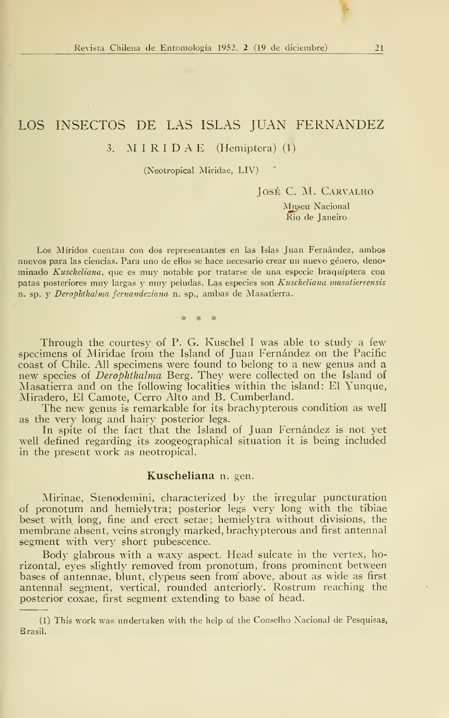# LOS INSECTOS DE LAS ISLAS JUAN FERNANDEZ

## 3. M <sup>I</sup> R <sup>I</sup>D A E (Hemiptera) (1)

(Neotropical Miridae, LIV)

José C. AL Carvalho

Museu Nacional Rio de Janeiro

Los Míridos cuentan con dos representantes en las Islas Juan Fernández, ambos nuevos para las ciencias. Para uno de ellos se hace necesario crear un nuevo género, deno\* minado Kuscheliana, que es muy notable por tratarse de una especie braquíptera con patas posteriores muy largas y muy peludas. Las especies son Kuscheliana masatierrensis n. sp. y Derophthalma fernandeziana n. sp., ambas de Masatierra.

ان<br>مان انتخاب انتخاب

Through the courtesy of P. G. Kuschel I was able to study a few specimens of Miridae from the Island of Juan Fernández on the Pacific coast of Chile. All specimens were found to belong to a new genus and a new species of *Derophthalma* Berg. They were collected on the Island of Masatierra and on the following localities within the island: El Yunque, Miradero, El Camote, Cerro Alto and B. Cumberland.

The new genus is remarkable for its brachypterous condition as well as the very long and hairy posterior legs.

In spite of the fact that the Island of Juan Fernández is not yet well defined regarding its zoogeographical situation it is being included in the present work as neotropical.

### Kuscheliana n. gen.

Mirinae, Stenodemini, characterized by the irregular puncturation of pronotum and hemielytra; posterior legs very long with the tibiae beset with long, fine and erect setae; hemielytra without divisions, the membrane absent, veins strongly marked, brachypterous and first antennal segment with very short pubescence.

Body glabrous with a waxy aspect. Head sulcate in the vertex, horizontal, eyes slightly removed from pronotum, frons prominent between bases of antennae, blunt, clypeus seen from' above, about as wide as first antennal segment, vertical, rounded anteriorly, Rostrum reaching the posterior coxae, first segment extending to base of head.

<sup>(1)</sup> This work was undertaken with the help of the Conselho Nacional de Pesquisas, Brasil.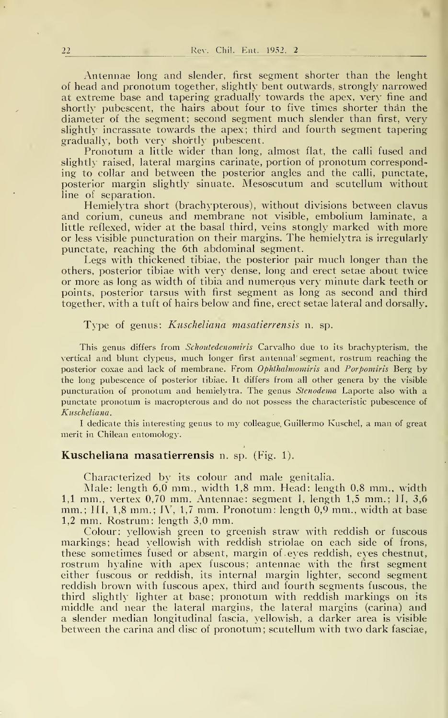Antennae long and slender, first segment shorter than the lenght of head and pronotum together, slightly bent outwards, strongly narrowed at extreme base and tapering gradually towards the apex, very fine and shortly pubescent, the hairs about four to five times shorter thán the diameter oí the segment; second segment much slender than first, very slightly incrassate towards the apex; third and fourth segment tapering gradually, both very shortly pubescent.

Pronotum a little wider than long, almost fíat, the calli fused and slightly raised, lateral margins carinate, portion of pronotum corresponding to collar and between the posterior angles and the calli, punctate, posterior margin slightly sinuate. Mesoscutum and scutellum without line of separation.

Hemielytra short (brachypterous), without divisions between clavus and corium, cuneus and membrane not visible, embolium laminate, a little reflexed, wider at the basal third, veins stongly marked with more or less visible puncturation on their margins. The hemielytra is irregularly punctate, reaching the 6th abdominal segment.

Legs with thickened tibiae, the posterior pair much longer than the others, posterior tibiae with very dense, long and erect setae about twice or more as long as width of tibia and numerous very minute dark teeth or points, posterior tarsus with first segment as long as second and third together, with a tuft of hairs below and fine, erect setae lateral and dorsally.

Type of genus: Kuscheliana masatierrensis n. sp.

This genus differs from *Schoutedenomiris* Carvalho due to its brachypterism, the vertical and blunt clypeus, much longer first antennal' segment, rostrum reaching the posterior coxae and lack of membrane. From Ophthalmomiris and Porpomiris Berg by the long pubescence of posterior tibiae. It differs from all other genera by the visible puncturation of pronotum and hemielytra. The genus Stenodema Laporte also with a punctate pronotum is macropterous and do not possess the characteristic pubescence of Kuscheliana.

<sup>I</sup> dedicate this interesting genus to my colleague, Guillermo Kuschel, <sup>a</sup> man of great merit in Chilean entomology.

#### Kuscheliana masatierrensis n. sp. (Fig. 1).

Characterized by its colour and male genitalia.

Male: length 6,0 mm., width 1,8 mm. Head: length 0,8 mm., width 1,1 mm., vertex  $0.70$  mm. Antennae: segment I, length 1,5 mm.; 1I, 3,6 mm.; III, 1,8 mm.; IV, 1,7 mm. Pronotum: length 0,9 mm., width at base 1.2 mm. Rostrum: length 3,0 mm.

Colour: yellowish green to greenish straw with reddish or fuscous markings; head yellowish with reddish striolae on each side of frons, these sometimes fused or absent, margin of eyes reddish, eyes chestnut, rostrum hyaline with apex fuscous; antennae with the first segment either fuscous or reddish, its internal margin lighter, second segment reddish brown with fuscous apex, third and fourth segments fuscous, the third slightly lighter at base; pronotum with reddish markings on its middle and near the lateral margins, the lateral margins (carina) and a slender median longitudinal fascia, yellowish, a darker área is visible between the carina and disc of pronotum; scutellum with two dark fasciae,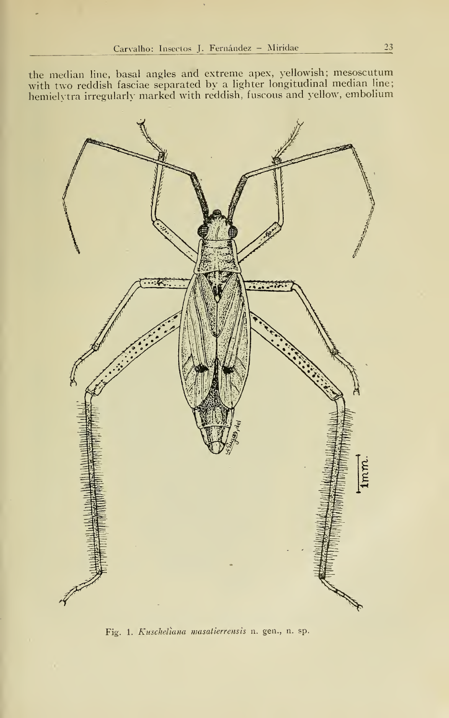the median line, basal angles and extreme apex, yellowish; mesoscutum with two reddish fasciae separated by a lighter longitudinal median line; hemielytra irregularly marked with reddish, fuscous and yellow, embolium



Fig. 1. Kuscheliana masatierrensis n. gen., n. sp.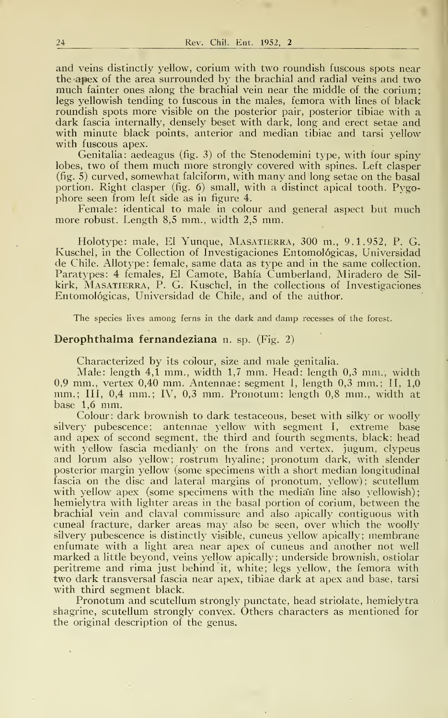and veins distinctly yellow, corium with two roundish fuscous spots near the apex of the área surrounded by the brachial and radial veins and two much fainter ones along the brachial vein near the middle of the corium; legs yellowish tending to fuscous in the males, femora with lines of black roundish spots more visible on the posterior pair, posterior tibiae with a dark fascia internally, densely beset with dark, long and erect setae and with minute black points, anterior and median tibiae and tarsi yellow with fuscous apex.

Genitalia: aedeagus (fig. 3) of the Stenodemini type, with four spiny lobes, two of them much more strongly covered with spines. Left clasper (fig. 5) curved, somewhat falciform, with many and long setae on the basal portion. Right clasper (fig. 6) small, with a distinct apical tooth. Pygophore seen from left side as in figure 4.

Female: identical to male in colour and general aspect but much more robust. Length  $8,5$  mm., width  $2,5$  mm.

Holotype: male, El Yunque, Masatierra, 300 m., 9.1.952, P. G. Kuschel, in the Collection of Investigaciones Entomológicas, Universidad de Chile. AUotype: female, same data as type and in the same collection. Paratypes: 4 females, El Camote, Bahía Cumberland, Miradero de Sil kirk, Masatierra, P. G. Kuschel, in the collections of Investigaciones Entomológicas, Universidad de Chile, and of the author.

The species lives among ferns in the dark and damp recesses of the forest.

#### Derophthalma fernandeziana n. sp. (Fig. 2)

Characterized by its colour, size and male genitalia.

Male: length 4,1 mm., width 1,7 mm. Head: length 0,3 mm., width 0,9 mm., vertex 0,40 mm. Antennae: segment I, length 0,3 mm.; II,  $1,0$ mm.; III, 0,4 mm.; IV, 0,3 mm. Pronotum: length 0,8 mm., width at base 1,6 mm.

Colour: dark brownish to dark testaceous, beset with silky or woolly silvery pubescence; antennae yellow with segment I, extreme base and apex of second segment, the third and fourth segments, black; head with yellow fascia medianly on the frons and vertex, jugum, clypeus and lorum also yellow; rostrum hyaline; pronotum dark, with slender posterior margin yellow (some specimens with a short median longitudinal fascia on the disc and lateral margins of pronotum, yellow); scutellum with yellow apex (some specimens with the median line also yellowish); hemielytra with lighter areas in the basal portion of corium, between the brachial vein and claval commissure and also apically contiguous with cuneal fracture, darker areas may also be seen, over which the woolly silvery pubescence is distinctly visible, cuneus yellow apically; membrane enfumate with a light área near apex of cuneus and another not well marked a little beyond, veins yellow apically; underside brownish, ostiolar peritreme and rima just behind it, white; legs yellow, the femora with two dark transversal fascia near apex, tibiae dark at apex and base, tarsi with third segment black.

Pronotum and scutellum strongly punctate, head striolate, hemielytra shagrine, scutellum strongly convex. Others characters as mentioned for the original description of the genus.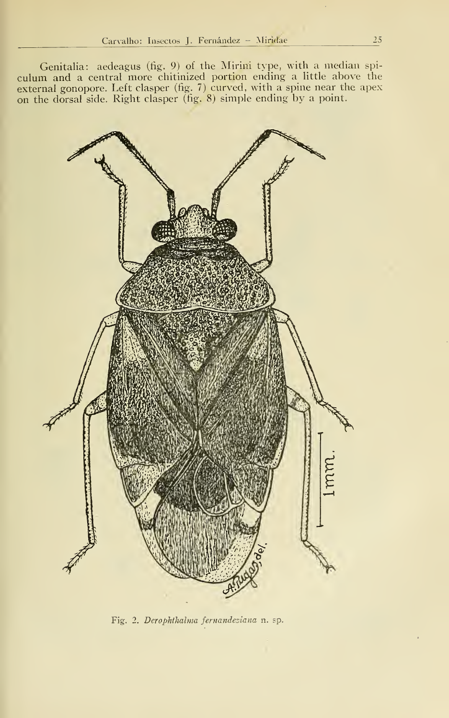Genitalia: aedeagus (fig. 9) of the Mirini type, with a median spiculum and a central more chitinized portion ending a little above the external gonopore. Left clasper (fig. 7) curved, with a spine near the apex on the dorsal side. Right clasper (fig. 8) simple ending by a point.



Fig. 2. Derophthalma fernandeziana n. sp.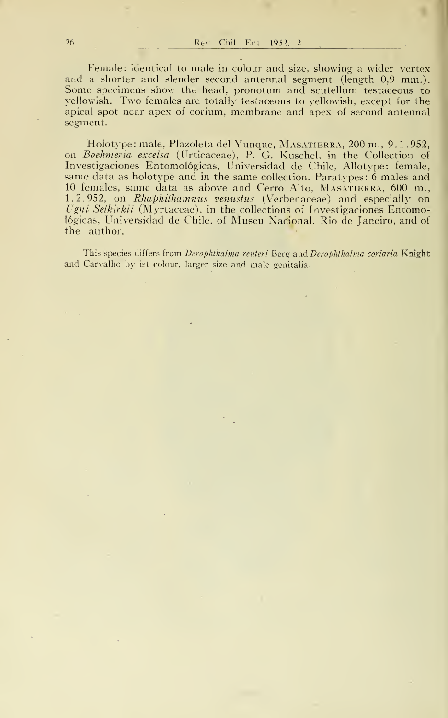Female: identical to male in colour and size, showing a wider vertex and a shorter and slender second antennal segment (length 0,9 mm.). Some specimens show the head, pronotum and scutellum testaceous to yellowish. Two females are totally testaceous to yellowish, except for the apical spot near apex of corium, membrane and apex of second antennal segment.

Holotype: male, Plazoleta del Yunque, Masatierra, 200 m., 9. 1.952, on Boehmeria excelsa (Urticaceae), P. G. Kuschel, in the Collection of Investigaciones Entomológicas, Universidad de Chile. Allotype: female, same data as holotype and in the same collection. Paratypes: 6 males and 10 females, same data as above and Cerro Alto, MASATIERRA, 600 m., 1.2.952, on Rhaphithamnus venustus (Verbenaceae) and especially on Ugni Selkirkii (Myrtaceae), in the collections of Investigaciones Entomológicas, Universidad de Chile, of Museu Nacional, Rio de Janeiro, and of the author. . e.

This species differs from Derophthalma reuteri Berg and Derophthalma coriaria Knight and Carvalho by ist colour, larger size and male genitalia.